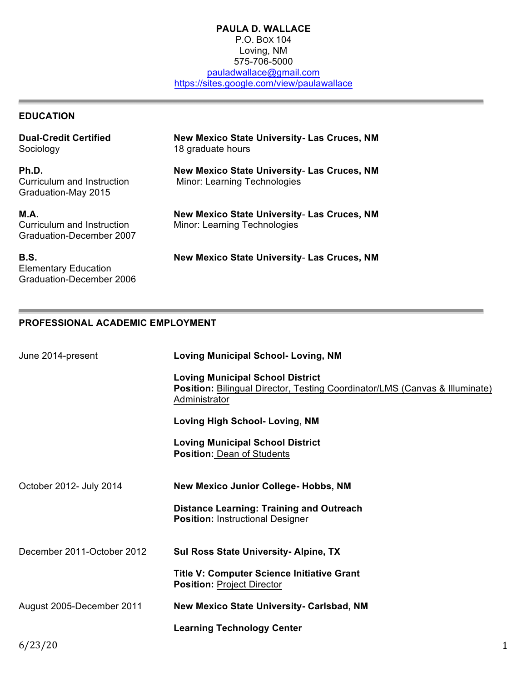#### **PAULA D. WALLACE** P.O. BOX 104 Loving, NM 575-706-5000 pauladwallace@gmail.com https://sites.google.com/view/paulawallace

## **EDUCATION**

| <b>Dual-Credit Certified</b><br>Sociology                             | New Mexico State University- Las Cruces, NM<br>18 graduate hours            |
|-----------------------------------------------------------------------|-----------------------------------------------------------------------------|
| Ph.D.<br>Curriculum and Instruction<br>Graduation-May 2015            | New Mexico State University- Las Cruces, NM<br>Minor: Learning Technologies |
| <b>M.A.</b><br>Curriculum and Instruction<br>Graduation-December 2007 | New Mexico State University- Las Cruces, NM<br>Minor: Learning Technologies |
| B.S.<br><b>Elementary Education</b>                                   | New Mexico State University- Las Cruces, NM                                 |

## **PROFESSIONAL ACADEMIC EMPLOYMENT**

Graduation-December 2006

| June 2014-present          | <b>Loving Municipal School- Loving, NM</b>                                                                                              |
|----------------------------|-----------------------------------------------------------------------------------------------------------------------------------------|
|                            | <b>Loving Municipal School District</b><br>Position: Bilingual Director, Testing Coordinator/LMS (Canvas & Illuminate)<br>Administrator |
|                            | <b>Loving High School- Loving, NM</b>                                                                                                   |
|                            | <b>Loving Municipal School District</b><br><b>Position: Dean of Students</b>                                                            |
| October 2012- July 2014    | <b>New Mexico Junior College- Hobbs, NM</b>                                                                                             |
|                            | <b>Distance Learning: Training and Outreach</b><br><b>Position: Instructional Designer</b>                                              |
| December 2011-October 2012 | Sul Ross State University- Alpine, TX                                                                                                   |
|                            | <b>Title V: Computer Science Initiative Grant</b><br><b>Position: Project Director</b>                                                  |
| August 2005-December 2011  | <b>New Mexico State University- Carlsbad, NM</b>                                                                                        |
|                            | <b>Learning Technology Center</b>                                                                                                       |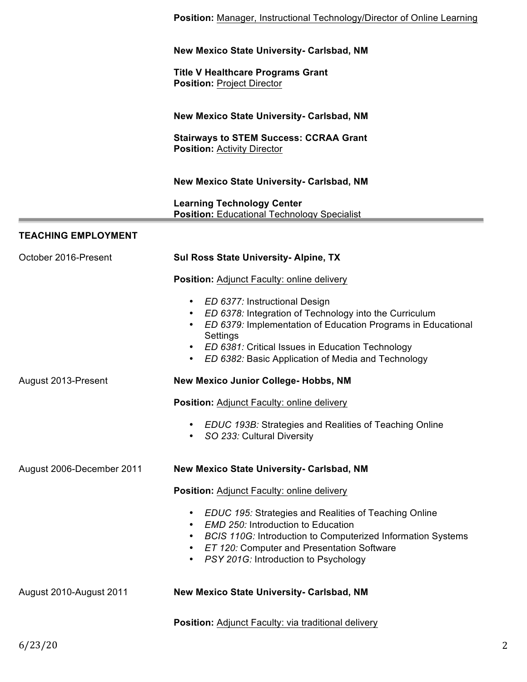|                            | Position: Manager, Instructional Technology/Director of Online Learning                                                                                                                                                                                                                                                           |
|----------------------------|-----------------------------------------------------------------------------------------------------------------------------------------------------------------------------------------------------------------------------------------------------------------------------------------------------------------------------------|
|                            | <b>New Mexico State University- Carlsbad, NM</b>                                                                                                                                                                                                                                                                                  |
|                            | <b>Title V Healthcare Programs Grant</b><br><b>Position: Project Director</b>                                                                                                                                                                                                                                                     |
|                            | <b>New Mexico State University- Carlsbad, NM</b>                                                                                                                                                                                                                                                                                  |
|                            | <b>Stairways to STEM Success: CCRAA Grant</b><br><b>Position: Activity Director</b>                                                                                                                                                                                                                                               |
|                            | <b>New Mexico State University- Carlsbad, NM</b>                                                                                                                                                                                                                                                                                  |
|                            | <b>Learning Technology Center</b><br><b>Position: Educational Technology Specialist</b>                                                                                                                                                                                                                                           |
| <b>TEACHING EMPLOYMENT</b> |                                                                                                                                                                                                                                                                                                                                   |
| October 2016-Present       | <b>Sul Ross State University-Alpine, TX</b>                                                                                                                                                                                                                                                                                       |
|                            | Position: Adjunct Faculty: online delivery                                                                                                                                                                                                                                                                                        |
|                            | ED 6377: Instructional Design<br>$\bullet$<br>ED 6378: Integration of Technology into the Curriculum<br>$\bullet$<br>ED 6379: Implementation of Education Programs in Educational<br>Settings<br>ED 6381: Critical Issues in Education Technology<br>$\bullet$<br>ED 6382: Basic Application of Media and Technology<br>$\bullet$ |
| August 2013-Present        | New Mexico Junior College- Hobbs, NM                                                                                                                                                                                                                                                                                              |
|                            | Position: Adjunct Faculty: online delivery                                                                                                                                                                                                                                                                                        |
|                            | <b>EDUC 193B: Strategies and Realities of Teaching Online</b><br>SO 233: Cultural Diversity<br>$\bullet$                                                                                                                                                                                                                          |
| August 2006-December 2011  | <b>New Mexico State University- Carlsbad, NM</b>                                                                                                                                                                                                                                                                                  |
|                            | Position: Adjunct Faculty: online delivery                                                                                                                                                                                                                                                                                        |
|                            | <b>EDUC 195: Strategies and Realities of Teaching Online</b><br>$\bullet$<br><b>EMD 250: Introduction to Education</b><br><b>BCIS 110G: Introduction to Computerized Information Systems</b><br>ET 120: Computer and Presentation Software<br>$\bullet$<br>PSY 201G: Introduction to Psychology<br>$\bullet$                      |
| August 2010-August 2011    | New Mexico State University- Carlsbad, NM                                                                                                                                                                                                                                                                                         |
|                            | Position: Adjunct Faculty: via traditional delivery                                                                                                                                                                                                                                                                               |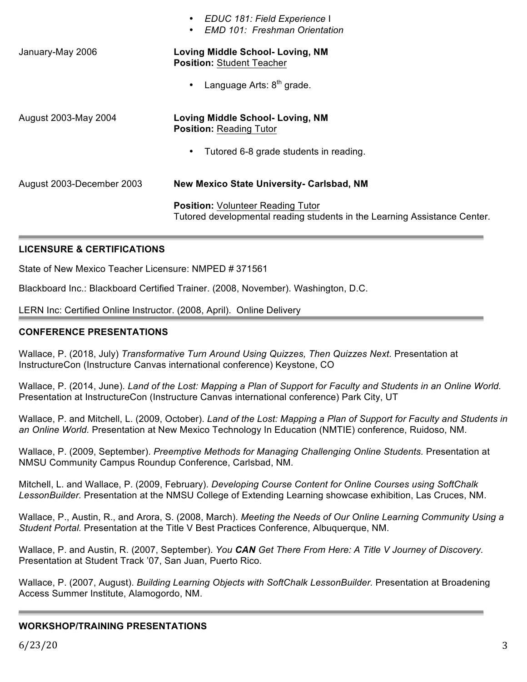| <b>Loving Middle School- Loving, NM</b><br><b>Position: Student Teacher</b><br>Language Arts: $8th$ grade.<br>$\bullet$<br>Loving Middle School- Loving, NM<br><b>Position: Reading Tutor</b><br>Tutored 6-8 grade students in reading.<br>$\bullet$<br>New Mexico State University- Carlsbad, NM<br><b>Position: Volunteer Reading Tutor</b><br>Tutored developmental reading students in the Learning Assistance Center. |                           | EDUC 181: Field Experience I<br>$\bullet$<br><b>EMD 101: Freshman Orientation</b><br>$\bullet$ |
|----------------------------------------------------------------------------------------------------------------------------------------------------------------------------------------------------------------------------------------------------------------------------------------------------------------------------------------------------------------------------------------------------------------------------|---------------------------|------------------------------------------------------------------------------------------------|
|                                                                                                                                                                                                                                                                                                                                                                                                                            | January-May 2006          |                                                                                                |
|                                                                                                                                                                                                                                                                                                                                                                                                                            |                           |                                                                                                |
|                                                                                                                                                                                                                                                                                                                                                                                                                            | August 2003-May 2004      |                                                                                                |
|                                                                                                                                                                                                                                                                                                                                                                                                                            |                           |                                                                                                |
|                                                                                                                                                                                                                                                                                                                                                                                                                            | August 2003-December 2003 |                                                                                                |
|                                                                                                                                                                                                                                                                                                                                                                                                                            |                           |                                                                                                |

## **LICENSURE & CERTIFICATIONS**

State of New Mexico Teacher Licensure: NMPED # 371561

Blackboard Inc.: Blackboard Certified Trainer. (2008, November). Washington, D.C.

LERN Inc: Certified Online Instructor. (2008, April). Online Delivery

#### **CONFERENCE PRESENTATIONS**

Wallace, P. (2018, July) *Transformative Turn Around Using Quizzes, Then Quizzes Next.* Presentation at InstructureCon (Instructure Canvas international conference) Keystone, CO

Wallace, P. (2014, June). *Land of the Lost: Mapping a Plan of Support for Faculty and Students in an Online World.* Presentation at InstructureCon (Instructure Canvas international conference) Park City, UT

Wallace, P. and Mitchell, L. (2009, October). *Land of the Lost: Mapping a Plan of Support for Faculty and Students in an Online World.* Presentation at New Mexico Technology In Education (NMTIE) conference, Ruidoso, NM.

Wallace, P. (2009, September). *Preemptive Methods for Managing Challenging Online Students.* Presentation at NMSU Community Campus Roundup Conference, Carlsbad, NM.

Mitchell, L. and Wallace, P. (2009, February). *Developing Course Content for Online Courses using SoftChalk LessonBuilder.* Presentation at the NMSU College of Extending Learning showcase exhibition, Las Cruces, NM.

Wallace, P., Austin, R., and Arora, S. (2008, March). *Meeting the Needs of Our Online Learning Community Using a Student Portal.* Presentation at the Title V Best Practices Conference, Albuquerque, NM.

Wallace, P. and Austin, R. (2007, September). *You CAN Get There From Here: A Title V Journey of Discovery.* Presentation at Student Track '07, San Juan, Puerto Rico.

Wallace, P. (2007, August). *Building Learning Objects with SoftChalk LessonBuilder.* Presentation at Broadening Access Summer Institute, Alamogordo, NM.

## **WORKSHOP/TRAINING PRESENTATIONS**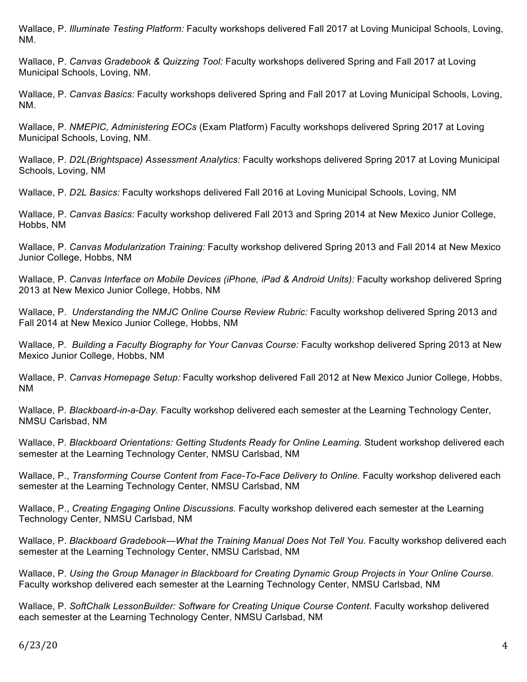Wallace, P. *Illuminate Testing Platform:* Faculty workshops delivered Fall 2017 at Loving Municipal Schools, Loving, NM.

Wallace, P. *Canvas Gradebook & Quizzing Tool:* Faculty workshops delivered Spring and Fall 2017 at Loving Municipal Schools, Loving, NM.

Wallace, P. *Canvas Basics:* Faculty workshops delivered Spring and Fall 2017 at Loving Municipal Schools, Loving, NM.

Wallace, P. *NMEPIC, Administering EOCs* (Exam Platform) Faculty workshops delivered Spring 2017 at Loving Municipal Schools, Loving, NM.

Wallace, P. *D2L(Brightspace) Assessment Analytics:* Faculty workshops delivered Spring 2017 at Loving Municipal Schools, Loving, NM

Wallace, P. *D2L Basics:* Faculty workshops delivered Fall 2016 at Loving Municipal Schools, Loving, NM

Wallace, P. *Canvas Basics:* Faculty workshop delivered Fall 2013 and Spring 2014 at New Mexico Junior College, Hobbs, NM

Wallace, P. *Canvas Modularization Training:* Faculty workshop delivered Spring 2013 and Fall 2014 at New Mexico Junior College, Hobbs, NM

Wallace, P. *Canvas Interface on Mobile Devices (iPhone, iPad & Android Units):* Faculty workshop delivered Spring 2013 at New Mexico Junior College, Hobbs, NM

Wallace, P. *Understanding the NMJC Online Course Review Rubric:* Faculty workshop delivered Spring 2013 and Fall 2014 at New Mexico Junior College, Hobbs, NM

Wallace, P. *Building a Faculty Biography for Your Canvas Course:* Faculty workshop delivered Spring 2013 at New Mexico Junior College, Hobbs, NM

Wallace, P. *Canvas Homepage Setup:* Faculty workshop delivered Fall 2012 at New Mexico Junior College, Hobbs, NM

Wallace, P. *Blackboard-in-a-Day.* Faculty workshop delivered each semester at the Learning Technology Center, NMSU Carlsbad, NM

Wallace, P. *Blackboard Orientations: Getting Students Ready for Online Learning.* Student workshop delivered each semester at the Learning Technology Center, NMSU Carlsbad, NM

Wallace, P., *Transforming Course Content from Face-To-Face Delivery to Online.* Faculty workshop delivered each semester at the Learning Technology Center, NMSU Carlsbad, NM

Wallace, P., *Creating Engaging Online Discussions.* Faculty workshop delivered each semester at the Learning Technology Center, NMSU Carlsbad, NM

Wallace, P. *Blackboard Gradebook—What the Training Manual Does Not Tell You.* Faculty workshop delivered each semester at the Learning Technology Center, NMSU Carlsbad, NM

Wallace, P. *Using the Group Manager in Blackboard for Creating Dynamic Group Projects in Your Online Course.* Faculty workshop delivered each semester at the Learning Technology Center, NMSU Carlsbad, NM

Wallace, P. *SoftChalk LessonBuilder: Software for Creating Unique Course Content.* Faculty workshop delivered each semester at the Learning Technology Center, NMSU Carlsbad, NM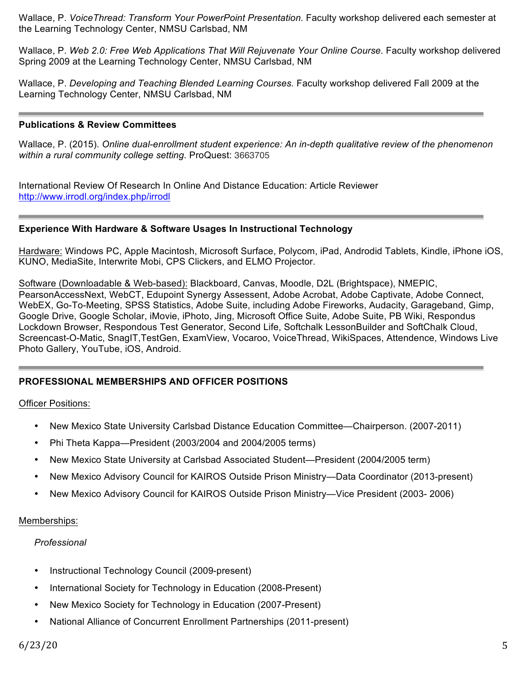Wallace, P. *VoiceThread: Transform Your PowerPoint Presentation.* Faculty workshop delivered each semester at the Learning Technology Center, NMSU Carlsbad, NM

Wallace, P. *Web 2.0: Free Web Applications That Will Rejuvenate Your Online Course.* Faculty workshop delivered Spring 2009 at the Learning Technology Center, NMSU Carlsbad, NM

Wallace, P. *Developing and Teaching Blended Learning Courses.* Faculty workshop delivered Fall 2009 at the Learning Technology Center, NMSU Carlsbad, NM

#### **Publications & Review Committees**

Wallace, P. (2015). *Online dual-enrollment student experience: An in-depth qualitative review of the phenomenon within a rural community college setting.* ProQuest: 3663705

International Review Of Research In Online And Distance Education: Article Reviewer http://www.irrodl.org/index.php/irrodl

#### **Experience With Hardware & Software Usages In Instructional Technology**

Hardware: Windows PC, Apple Macintosh, Microsoft Surface, Polycom, iPad, Androdid Tablets, Kindle, iPhone iOS, KUNO, MediaSite, Interwrite Mobi, CPS Clickers, and ELMO Projector.

Software (Downloadable & Web-based): Blackboard, Canvas, Moodle, D2L (Brightspace), NMEPIC, PearsonAccessNext, WebCT, Edupoint Synergy Assessent, Adobe Acrobat, Adobe Captivate, Adobe Connect, WebEX, Go-To-Meeting, SPSS Statistics, Adobe Suite, including Adobe Fireworks, Audacity, Garageband, Gimp, Google Drive, Google Scholar, iMovie, iPhoto, Jing, Microsoft Office Suite, Adobe Suite, PB Wiki, Respondus Lockdown Browser, Respondous Test Generator, Second Life, Softchalk LessonBuilder and SoftChalk Cloud, Screencast-O-Matic, SnagIT,TestGen, ExamView, Vocaroo, VoiceThread, WikiSpaces, Attendence, Windows Live Photo Gallery, YouTube, iOS, Android.

## **PROFESSIONAL MEMBERSHIPS AND OFFICER POSITIONS**

#### Officer Positions:

- New Mexico State University Carlsbad Distance Education Committee—Chairperson. (2007-2011)
- Phi Theta Kappa—President (2003/2004 and 2004/2005 terms)
- New Mexico State University at Carlsbad Associated Student—President (2004/2005 term)
- New Mexico Advisory Council for KAIROS Outside Prison Ministry—Data Coordinator (2013-present)
- New Mexico Advisory Council for KAIROS Outside Prison Ministry—Vice President (2003- 2006)

#### Memberships:

#### *Professional*

- Instructional Technology Council (2009-present)
- International Society for Technology in Education (2008-Present)
- New Mexico Society for Technology in Education (2007-Present)
- National Alliance of Concurrent Enrollment Partnerships (2011-present)